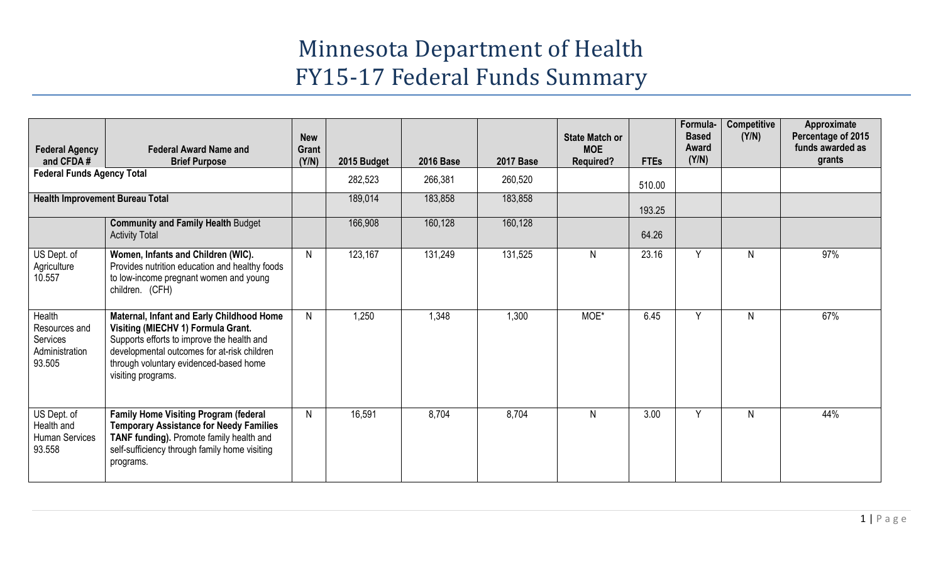# Minnesota Department of Health FY15-17 Federal Funds Summary

| <b>Federal Agency</b><br>and CFDA#                              | <b>Federal Award Name and</b><br><b>Brief Purpose</b>                                                                                                                                                                                        | <b>New</b><br>Grant<br>(Y/N) | 2015 Budget | <b>2016 Base</b> | <b>2017 Base</b> | <b>State Match or</b><br><b>MOE</b><br><b>Required?</b> | <b>FTEs</b> | Formula-<br><b>Based</b><br>Award<br>(Y/N) | <b>Competitive</b><br>(Y/N) | Approximate<br>Percentage of 2015<br>funds awarded as<br>grants |
|-----------------------------------------------------------------|----------------------------------------------------------------------------------------------------------------------------------------------------------------------------------------------------------------------------------------------|------------------------------|-------------|------------------|------------------|---------------------------------------------------------|-------------|--------------------------------------------|-----------------------------|-----------------------------------------------------------------|
| <b>Federal Funds Agency Total</b>                               |                                                                                                                                                                                                                                              |                              | 282,523     | 266,381          | 260,520          |                                                         | 510.00      |                                            |                             |                                                                 |
| <b>Health Improvement Bureau Total</b>                          |                                                                                                                                                                                                                                              |                              | 189,014     | 183,858          | 183,858          |                                                         | 193.25      |                                            |                             |                                                                 |
|                                                                 | <b>Community and Family Health Budget</b><br><b>Activity Total</b>                                                                                                                                                                           |                              | 166,908     | 160,128          | 160,128          |                                                         | 64.26       |                                            |                             |                                                                 |
| US Dept. of<br>Agriculture<br>10.557                            | Women, Infants and Children (WIC).<br>Provides nutrition education and healthy foods<br>to low-income pregnant women and young<br>children. (CFH)                                                                                            | N                            | 123,167     | 131,249          | 131,525          | N                                                       | 23.16       | Y                                          | N                           | 97%                                                             |
| Health<br>Resources and<br>Services<br>Administration<br>93.505 | Maternal, Infant and Early Childhood Home<br>Visiting (MIECHV 1) Formula Grant.<br>Supports efforts to improve the health and<br>developmental outcomes for at-risk children<br>through voluntary evidenced-based home<br>visiting programs. | N                            | 1,250       | 1,348            | 1,300            | MOE*                                                    | 6.45        | Y                                          | N                           | 67%                                                             |
| US Dept. of<br>Health and<br><b>Human Services</b><br>93.558    | <b>Family Home Visiting Program (federal</b><br><b>Temporary Assistance for Needy Families</b><br>TANF funding). Promote family health and<br>self-sufficiency through family home visiting<br>programs.                                     | $\mathsf{N}$                 | 16,591      | 8,704            | 8,704            | N                                                       | 3.00        | Y                                          | $\mathsf{N}$                | 44%                                                             |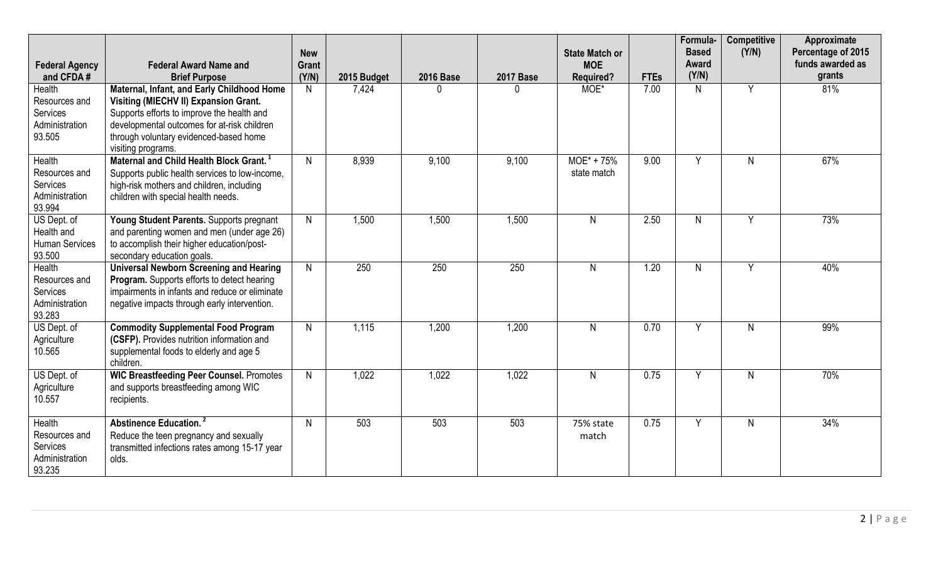| <b>Federal Agency</b><br>and CFDA#                                     | <b>Federal Award Name and</b><br><b>Brief Purpose</b>                                                                                                                                                                                            | <b>New</b><br><b>Grant</b><br>(Y/N) | 2015 Budget | <b>2016 Base</b> | <b>2017 Base</b> | <b>State Match or</b><br><b>MOE</b><br><b>Required?</b> | <b>FTEs</b> | Formula-<br><b>Based</b><br>Award<br>(Y/N) | <b>Competitive</b><br>(Y/N) | Approximate<br>Percentage of 2015<br>funds awarded as<br>grants |
|------------------------------------------------------------------------|--------------------------------------------------------------------------------------------------------------------------------------------------------------------------------------------------------------------------------------------------|-------------------------------------|-------------|------------------|------------------|---------------------------------------------------------|-------------|--------------------------------------------|-----------------------------|-----------------------------------------------------------------|
| Health<br>Resources and<br>Services<br>Administration<br>93.505        | Maternal, Infant, and Early Childhood Home<br>Visiting (MIECHV II) Expansion Grant.<br>Supports efforts to improve the health and<br>developmental outcomes for at-risk children<br>through voluntary evidenced-based home<br>visiting programs. | N                                   | 7,424       |                  |                  | MOE*                                                    | 7.00        | $\mathsf{N}$                               | Y                           | 81%                                                             |
| Health<br>Resources and<br>Services<br>Administration<br>93.994        | Maternal and Child Health Block Grant. <sup>1</sup><br>Supports public health services to low-income,<br>high-risk mothers and children, including<br>children with special health needs.                                                        | $\mathsf{N}$                        | 8,939       | 9,100            | 9,100            | $MOE^* + 75%$<br>state match                            | 9.00        | Y                                          | N                           | 67%                                                             |
| US Dept. of<br>Health and<br>Human Services<br>93.500                  | Young Student Parents. Supports pregnant<br>and parenting women and men (under age 26)<br>to accomplish their higher education/post-<br>secondary education goals.                                                                               | N                                   | 1,500       | 1,500            | 1,500            | $\mathsf{N}$                                            | 2.50        | $\mathsf{N}$                               | Y                           | 73%                                                             |
| <b>Health</b><br>Resources and<br>Services<br>Administration<br>93.283 | <b>Universal Newborn Screening and Hearing</b><br>Program. Supports efforts to detect hearing<br>impairments in infants and reduce or eliminate<br>negative impacts through early intervention.                                                  | $\mathsf{N}$                        | 250         | 250              | 250              | N                                                       | 1.20        | $\mathsf{N}$                               | Y                           | 40%                                                             |
| US Dept. of<br>Agriculture<br>10.565                                   | <b>Commodity Supplemental Food Program</b><br>(CSFP). Provides nutrition information and<br>supplemental foods to elderly and age 5<br>children.                                                                                                 | $\mathsf{N}$                        | 1,115       | 1,200            | 1,200            | $\mathsf{N}$                                            | 0.70        | Y                                          | N                           | 99%                                                             |
| US Dept. of<br>Agriculture<br>10.557                                   | <b>WIC Breastfeeding Peer Counsel. Promotes</b><br>and supports breastfeeding among WIC<br>recipients.                                                                                                                                           | $\mathsf{N}$                        | 1,022       | 1,022            | 1,022            | $\mathsf{N}$                                            | 0.75        | Y                                          | N                           | 70%                                                             |
| Health<br>Resources and<br>Services<br>Administration<br>93.235        | <b>Abstinence Education.</b> <sup>2</sup><br>Reduce the teen pregnancy and sexually<br>transmitted infections rates among 15-17 year<br>olds.                                                                                                    | N                                   | 503         | 503              | 503              | 75% state<br>match                                      | 0.75        | Y                                          | N                           | 34%                                                             |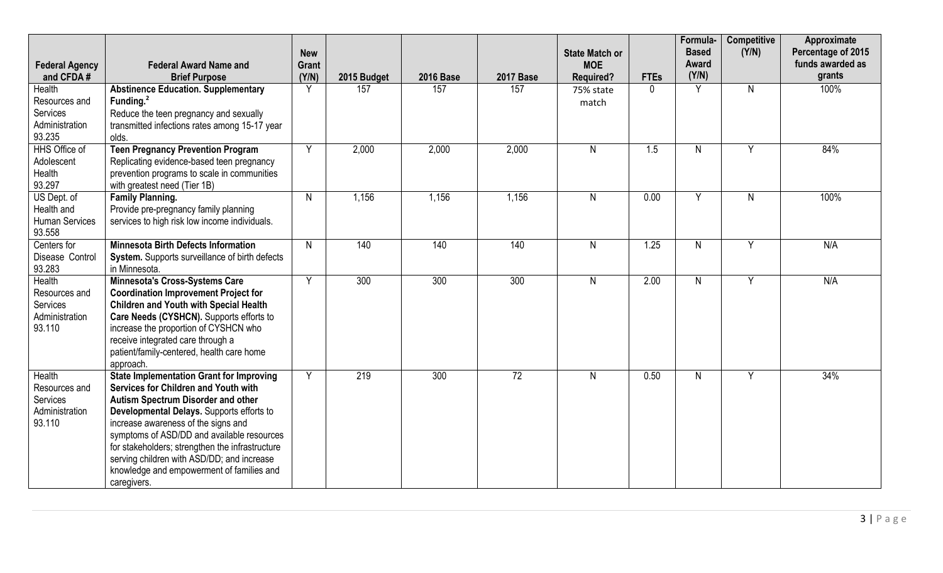|                                                                        | <b>Federal Award Name and</b>                                                                                                                                                                                                                                                                                                                                                                                                       | <b>New</b><br>Grant |             |                  |                  | <b>State Match or</b><br><b>MOE</b> |             | Formula-<br><b>Based</b><br>Award | <b>Competitive</b><br>(Y/N) | Approximate<br>Percentage of 2015<br>funds awarded as |
|------------------------------------------------------------------------|-------------------------------------------------------------------------------------------------------------------------------------------------------------------------------------------------------------------------------------------------------------------------------------------------------------------------------------------------------------------------------------------------------------------------------------|---------------------|-------------|------------------|------------------|-------------------------------------|-------------|-----------------------------------|-----------------------------|-------------------------------------------------------|
| <b>Federal Agency</b><br>and CFDA#                                     | <b>Brief Purpose</b>                                                                                                                                                                                                                                                                                                                                                                                                                | (Y/N)               | 2015 Budget | <b>2016 Base</b> | <b>2017 Base</b> | <b>Required?</b>                    | <b>FTEs</b> | (Y/N)                             |                             | grants                                                |
| Health<br>Resources and<br>Services<br>Administration<br>93.235        | <b>Abstinence Education. Supplementary</b><br>Funding. <sup>2</sup><br>Reduce the teen pregnancy and sexually<br>transmitted infections rates among 15-17 year<br>olds.                                                                                                                                                                                                                                                             | Y                   | 157         | 157              | 157              | 75% state<br>match                  | $\Omega$    | Y                                 | N                           | 100%                                                  |
| HHS Office of<br>Adolescent<br>Health<br>93.297                        | <b>Teen Pregnancy Prevention Program</b><br>Replicating evidence-based teen pregnancy<br>prevention programs to scale in communities<br>with greatest need (Tier 1B)                                                                                                                                                                                                                                                                | Y                   | 2,000       | 2,000            | 2,000            | $\mathsf{N}$                        | 1.5         | $\mathsf{N}$                      | Y                           | 84%                                                   |
| US Dept. of<br>Health and<br>Human Services<br>93.558                  | <b>Family Planning.</b><br>Provide pre-pregnancy family planning<br>services to high risk low income individuals.                                                                                                                                                                                                                                                                                                                   | $\mathsf{N}$        | 1,156       | 1,156            | 1,156            | $\mathsf{N}$                        | 0.00        | Y                                 | N.                          | 100%                                                  |
| Centers for<br>Disease Control<br>93.283                               | <b>Minnesota Birth Defects Information</b><br>System. Supports surveillance of birth defects<br>in Minnesota.                                                                                                                                                                                                                                                                                                                       | $\mathsf{N}$        | 140         | 140              | 140              | $\mathsf{N}$                        | 1.25        | $\mathsf{N}$                      | Y                           | N/A                                                   |
| <b>Health</b><br>Resources and<br>Services<br>Administration<br>93.110 | Minnesota's Cross-Systems Care<br><b>Coordination Improvement Project for</b><br><b>Children and Youth with Special Health</b><br>Care Needs (CYSHCN). Supports efforts to<br>increase the proportion of CYSHCN who<br>receive integrated care through a<br>patient/family-centered, health care home<br>approach.                                                                                                                  | Y                   | 300         | 300              | 300              | $\mathsf{N}$                        | 2.00        | $\mathsf{N}$                      | $\overline{Y}$              | N/A                                                   |
| Health<br>Resources and<br>Services<br>Administration<br>93.110        | <b>State Implementation Grant for Improving</b><br>Services for Children and Youth with<br><b>Autism Spectrum Disorder and other</b><br>Developmental Delays. Supports efforts to<br>increase awareness of the signs and<br>symptoms of ASD/DD and available resources<br>for stakeholders; strengthen the infrastructure<br>serving children with ASD/DD; and increase<br>knowledge and empowerment of families and<br>caregivers. | Y                   | 219         | 300              | $\overline{72}$  | $\mathsf{N}$                        | 0.50        | $\mathsf{N}$                      | Y                           | 34%                                                   |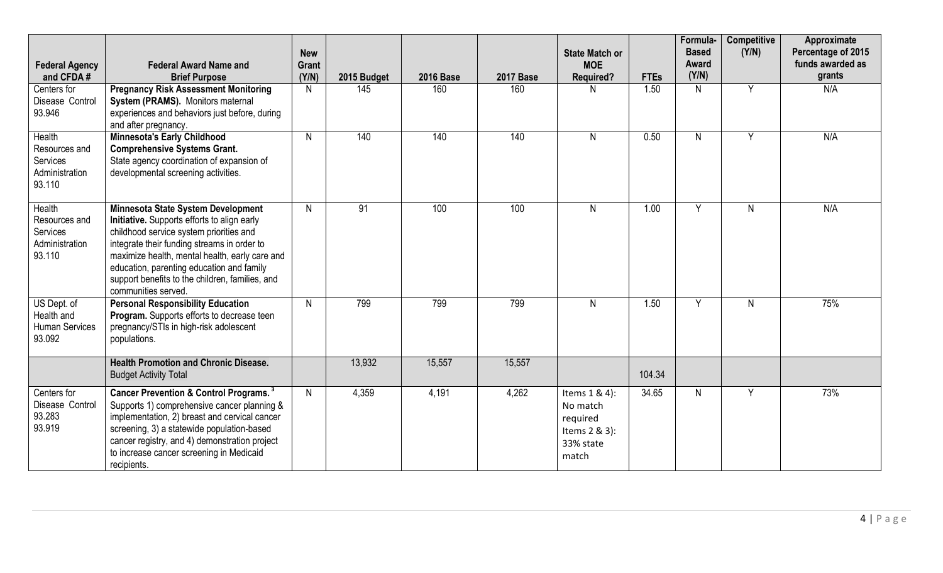| <b>Federal Agency</b><br>and CFDA#                              | <b>Federal Award Name and</b><br><b>Brief Purpose</b>                                                                                                                                                                                                                                                                                                | <b>New</b><br>Grant<br>(Y/N) | 2015 Budget | <b>2016 Base</b> | <b>2017 Base</b> | <b>State Match or</b><br><b>MOE</b><br><b>Required?</b>                      | <b>FTEs</b> | Formula-<br><b>Based</b><br>Award<br>(Y/N) | <b>Competitive</b><br>(Y/N) | Approximate<br>Percentage of 2015<br>funds awarded as<br>grants |
|-----------------------------------------------------------------|------------------------------------------------------------------------------------------------------------------------------------------------------------------------------------------------------------------------------------------------------------------------------------------------------------------------------------------------------|------------------------------|-------------|------------------|------------------|------------------------------------------------------------------------------|-------------|--------------------------------------------|-----------------------------|-----------------------------------------------------------------|
| Centers for<br>Disease Control<br>93.946                        | <b>Pregnancy Risk Assessment Monitoring</b><br>System (PRAMS). Monitors maternal<br>experiences and behaviors just before, during<br>and after pregnancy.                                                                                                                                                                                            | N                            | 145         | 160              | 160              | N                                                                            | 1.50        | N                                          | Y                           | N/A                                                             |
| Health<br>Resources and<br>Services<br>Administration<br>93.110 | <b>Minnesota's Early Childhood</b><br><b>Comprehensive Systems Grant.</b><br>State agency coordination of expansion of<br>developmental screening activities.                                                                                                                                                                                        | N                            | 140         | 140              | 140              | $\mathsf{N}$                                                                 | 0.50        | $\mathsf{N}$                               | Y                           | N/A                                                             |
| Health<br>Resources and<br>Services<br>Administration<br>93.110 | Minnesota State System Development<br>Initiative. Supports efforts to align early<br>childhood service system priorities and<br>integrate their funding streams in order to<br>maximize health, mental health, early care and<br>education, parenting education and family<br>support benefits to the children, families, and<br>communities served. | $\mathsf{N}$                 | 91          | 100              | 100              | $\mathsf{N}$                                                                 | 1.00        | Y                                          | N.                          | N/A                                                             |
| US Dept. of<br>Health and<br>Human Services<br>93.092           | <b>Personal Responsibility Education</b><br>Program. Supports efforts to decrease teen<br>pregnancy/STIs in high-risk adolescent<br>populations.                                                                                                                                                                                                     | N                            | 799         | 799              | 799              | $\mathsf{N}$                                                                 | 1.50        | Y                                          | N                           | 75%                                                             |
|                                                                 | <b>Health Promotion and Chronic Disease.</b><br><b>Budget Activity Total</b>                                                                                                                                                                                                                                                                         |                              | 13,932      | 15,557           | 15,557           |                                                                              | 104.34      |                                            |                             |                                                                 |
| Centers for<br>Disease Control<br>93.283<br>93.919              | Cancer Prevention & Control Programs. <sup>3</sup><br>Supports 1) comprehensive cancer planning &<br>implementation, 2) breast and cervical cancer<br>screening, 3) a statewide population-based<br>cancer registry, and 4) demonstration project<br>to increase cancer screening in Medicaid<br>recipients.                                         | N                            | 4,359       | 4,191            | 4,262            | Items 1 & 4):<br>No match<br>required<br>Items 2 & 3):<br>33% state<br>match | 34.65       | N.                                         | Y                           | 73%                                                             |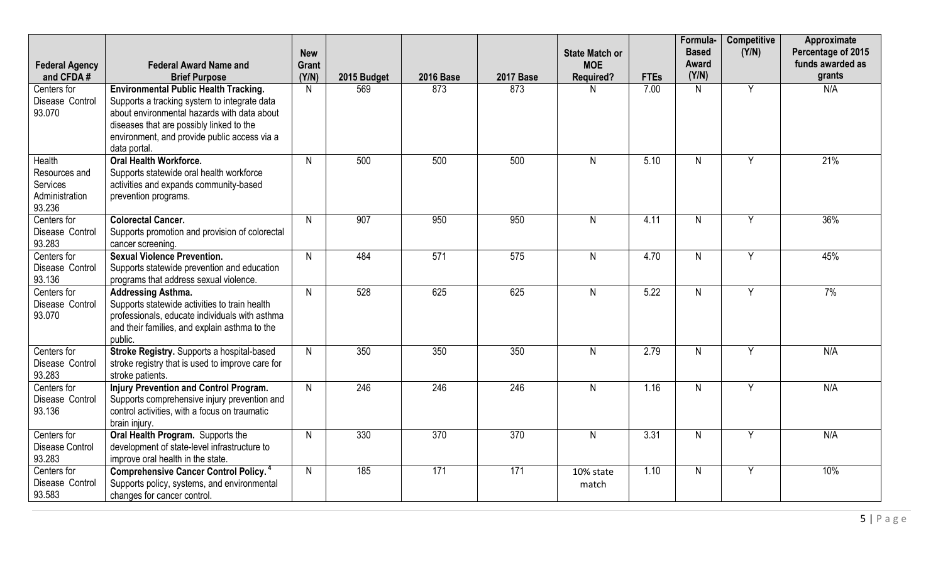| <b>Federal Agency</b><br>and CFDA#                              | <b>Federal Award Name and</b><br><b>Brief Purpose</b>                                                                                                                                                                                                   | <b>New</b><br>Grant<br>(Y/N) | 2015 Budget | <b>2016 Base</b> | <b>2017 Base</b> | <b>State Match or</b><br><b>MOE</b><br><b>Required?</b> | <b>FTEs</b> | Formula-<br><b>Based</b><br>Award<br>(Y/N) | <b>Competitive</b><br>(Y/N) | Approximate<br>Percentage of 2015<br>funds awarded as<br>grants |
|-----------------------------------------------------------------|---------------------------------------------------------------------------------------------------------------------------------------------------------------------------------------------------------------------------------------------------------|------------------------------|-------------|------------------|------------------|---------------------------------------------------------|-------------|--------------------------------------------|-----------------------------|-----------------------------------------------------------------|
| Centers for<br>Disease Control<br>93.070                        | <b>Environmental Public Health Tracking.</b><br>Supports a tracking system to integrate data<br>about environmental hazards with data about<br>diseases that are possibly linked to the<br>environment, and provide public access via a<br>data portal. | N                            | 569         | 873              | 873              | N                                                       | 7.00        | $\mathsf{N}$                               | Y                           | N/A                                                             |
| Health<br>Resources and<br>Services<br>Administration<br>93.236 | <b>Oral Health Workforce.</b><br>Supports statewide oral health workforce<br>activities and expands community-based<br>prevention programs.                                                                                                             | $\mathsf{N}$                 | 500         | 500              | 500              | $\mathsf{N}$                                            | 5.10        | $\mathsf{N}$                               | $\overline{Y}$              | 21%                                                             |
| Centers for<br>Disease Control<br>93.283                        | <b>Colorectal Cancer.</b><br>Supports promotion and provision of colorectal<br>cancer screening.                                                                                                                                                        | N                            | 907         | 950              | 950              | $\mathsf{N}$                                            | 4.11        | $\mathsf{N}$                               | Y                           | 36%                                                             |
| Centers for<br>Disease Control<br>93.136                        | <b>Sexual Violence Prevention.</b><br>Supports statewide prevention and education<br>programs that address sexual violence.                                                                                                                             | $\mathsf{N}$                 | 484         | $\overline{571}$ | 575              | $\mathsf{N}$                                            | 4.70        | N                                          | Y                           | 45%                                                             |
| Centers for<br>Disease Control<br>93.070                        | <b>Addressing Asthma.</b><br>Supports statewide activities to train health<br>professionals, educate individuals with asthma<br>and their families, and explain asthma to the<br>public.                                                                | N                            | 528         | 625              | 625              | $\mathsf{N}$                                            | 5.22        | $\mathsf{N}$                               | Y                           | 7%                                                              |
| Centers for<br>Disease Control<br>93.283                        | Stroke Registry. Supports a hospital-based<br>stroke registry that is used to improve care for<br>stroke patients.                                                                                                                                      | N                            | 350         | 350              | 350              | N                                                       | 2.79        | N                                          | Y                           | N/A                                                             |
| Centers for<br>Disease Control<br>93.136                        | <b>Injury Prevention and Control Program.</b><br>Supports comprehensive injury prevention and<br>control activities, with a focus on traumatic<br>brain injury.                                                                                         | $\mathsf{N}$                 | 246         | 246              | 246              | $\mathsf{N}$                                            | 1.16        | $\mathsf{N}$                               | $\overline{Y}$              | N/A                                                             |
| Centers for<br><b>Disease Control</b><br>93.283                 | Oral Health Program. Supports the<br>development of state-level infrastructure to<br>improve oral health in the state.                                                                                                                                  | $\mathsf{N}$                 | 330         | 370              | 370              | $\mathsf{N}$                                            | 3.31        | $\mathsf{N}$                               | $\overline{Y}$              | N/A                                                             |
| Centers for<br>Disease Control<br>93.583                        | <b>Comprehensive Cancer Control Policy.</b> <sup>4</sup><br>Supports policy, systems, and environmental<br>changes for cancer control.                                                                                                                  | $\mathsf{N}$                 | 185         | 171              | 171              | 10% state<br>match                                      | 1.10        | $\mathsf{N}$                               | Y                           | 10%                                                             |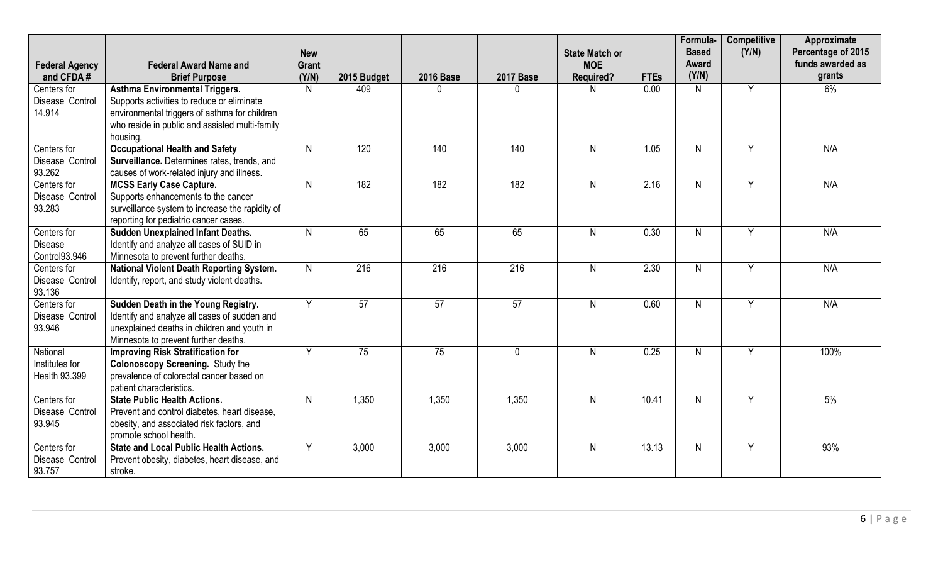| <b>Federal Agency</b><br>and CFDA#          | <b>Federal Award Name and</b><br><b>Brief Purpose</b>                                                                                                                                              | <b>New</b><br><b>Grant</b><br>(Y/N) | 2015 Budget | <b>2016 Base</b> | <b>2017 Base</b> | <b>State Match or</b><br><b>MOE</b><br><b>Required?</b> | <b>FTEs</b> | Formula-<br><b>Based</b><br>Award<br>(Y/N) | <b>Competitive</b><br>(Y/N) | Approximate<br>Percentage of 2015<br>funds awarded as<br>grants |
|---------------------------------------------|----------------------------------------------------------------------------------------------------------------------------------------------------------------------------------------------------|-------------------------------------|-------------|------------------|------------------|---------------------------------------------------------|-------------|--------------------------------------------|-----------------------------|-----------------------------------------------------------------|
| Centers for<br>Disease Control<br>14.914    | <b>Asthma Environmental Triggers.</b><br>Supports activities to reduce or eliminate<br>environmental triggers of asthma for children<br>who reside in public and assisted multi-family<br>housing. | N                                   | 409         | 0                | $\Omega$         | N                                                       | 0.00        | N                                          | Y                           | 6%                                                              |
| Centers for<br>Disease Control<br>93.262    | <b>Occupational Health and Safety</b><br>Surveillance. Determines rates, trends, and<br>causes of work-related injury and illness.                                                                 | N                                   | 120         | 140              | 140              | $\mathsf{N}$                                            | 1.05        | $\mathsf{N}$                               | Y                           | N/A                                                             |
| Centers for<br>Disease Control<br>93.283    | <b>MCSS Early Case Capture.</b><br>Supports enhancements to the cancer<br>surveillance system to increase the rapidity of<br>reporting for pediatric cancer cases.                                 | N                                   | 182         | 182              | 182              | $\mathsf{N}$                                            | 2.16        | $\mathsf{N}$                               | Y                           | N/A                                                             |
| Centers for<br>Disease<br>Control93.946     | <b>Sudden Unexplained Infant Deaths.</b><br>Identify and analyze all cases of SUID in<br>Minnesota to prevent further deaths.                                                                      | $\mathsf{N}$                        | 65          | 65               | 65               | $\mathsf{N}$                                            | 0.30        | $\mathsf{N}$                               | Y                           | N/A                                                             |
| Centers for<br>Disease Control<br>93.136    | <b>National Violent Death Reporting System.</b><br>Identify, report, and study violent deaths.                                                                                                     | $\mathsf{N}$                        | 216         | 216              | 216              | $\mathsf{N}$                                            | 2.30        | $\mathsf{N}$                               | Y                           | N/A                                                             |
| Centers for<br>Disease Control<br>93.946    | Sudden Death in the Young Registry.<br>Identify and analyze all cases of sudden and<br>unexplained deaths in children and youth in<br>Minnesota to prevent further deaths.                         | Y                                   | 57          | 57               | 57               | $\mathsf{N}$                                            | 0.60        | $\mathsf{N}$                               | Y                           | N/A                                                             |
| National<br>Institutes for<br>Health 93.399 | <b>Improving Risk Stratification for</b><br><b>Colonoscopy Screening.</b> Study the<br>prevalence of colorectal cancer based on<br>patient characteristics.                                        | Y                                   | 75          | 75               | $\mathbf{0}$     | $\mathsf{N}$                                            | 0.25        | $\mathsf{N}$                               | Y                           | 100%                                                            |
| Centers for<br>Disease Control<br>93.945    | <b>State Public Health Actions.</b><br>Prevent and control diabetes, heart disease,<br>obesity, and associated risk factors, and<br>promote school health.                                         | $\mathsf{N}$                        | 1,350       | 1,350            | 1,350            | $\mathsf{N}$                                            | 10.41       | $\mathsf{N}$                               | Y                           | 5%                                                              |
| Centers for<br>Disease Control<br>93.757    | <b>State and Local Public Health Actions.</b><br>Prevent obesity, diabetes, heart disease, and<br>stroke.                                                                                          | Y                                   | 3,000       | 3,000            | 3,000            | N                                                       | 13.13       | $\mathsf{N}$                               | Y                           | 93%                                                             |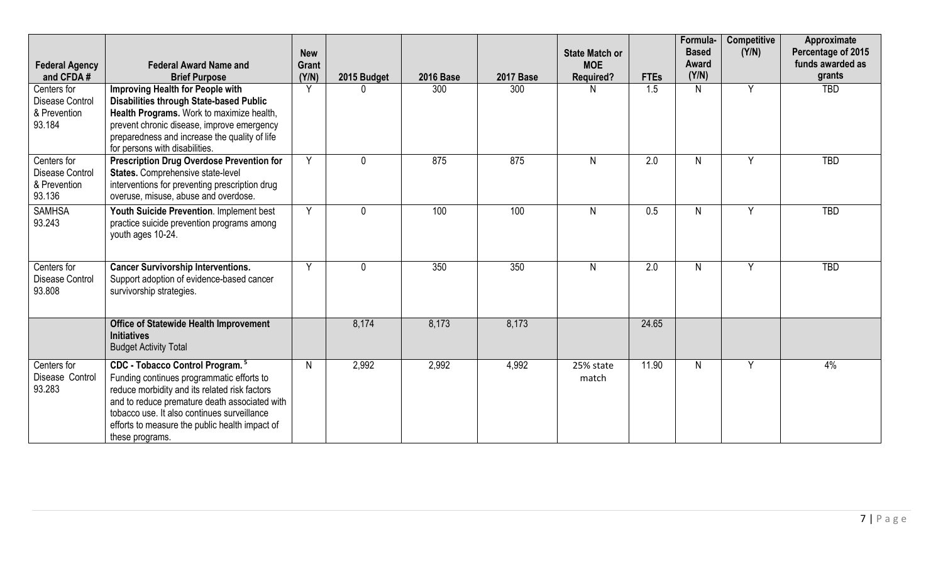| <b>Federal Agency</b>                                           | <b>Federal Award Name and</b>                                                                                                                                                                                                                                                                                  | <b>New</b><br>Grant |              |                  |                  | <b>State Match or</b><br><b>MOE</b> |             | Formula-<br><b>Based</b><br>Award | Competitive<br>(Y/N) | Approximate<br>Percentage of 2015<br>funds awarded as |
|-----------------------------------------------------------------|----------------------------------------------------------------------------------------------------------------------------------------------------------------------------------------------------------------------------------------------------------------------------------------------------------------|---------------------|--------------|------------------|------------------|-------------------------------------|-------------|-----------------------------------|----------------------|-------------------------------------------------------|
| and CFDA#                                                       | <b>Brief Purpose</b>                                                                                                                                                                                                                                                                                           | (Y/N)               | 2015 Budget  | <b>2016 Base</b> | <b>2017 Base</b> | <b>Required?</b>                    | <b>FTEs</b> | (Y/N)                             |                      | grants                                                |
| Centers for<br><b>Disease Control</b><br>& Prevention<br>93.184 | Improving Health for People with<br><b>Disabilities through State-based Public</b><br>Health Programs. Work to maximize health,<br>prevent chronic disease, improve emergency<br>preparedness and increase the quality of life<br>for persons with disabilities.                                               | Y                   |              | 300              | 300              | N                                   | 1.5         | N.                                | Y                    | <b>TBD</b>                                            |
| Centers for<br><b>Disease Control</b><br>& Prevention<br>93.136 | <b>Prescription Drug Overdose Prevention for</b><br>States. Comprehensive state-level<br>interventions for preventing prescription drug<br>overuse, misuse, abuse and overdose.                                                                                                                                | Y                   | <sup>0</sup> | 875              | 875              | $\mathsf{N}$                        | 2.0         | N                                 | Y                    | <b>TBD</b>                                            |
| <b>SAMHSA</b><br>93.243                                         | Youth Suicide Prevention. Implement best<br>practice suicide prevention programs among<br>youth ages 10-24.                                                                                                                                                                                                    | Y                   | $\mathbf{0}$ | 100              | 100              | $\mathsf{N}$                        | 0.5         | N                                 | Y                    | <b>TBD</b>                                            |
| Centers for<br>Disease Control<br>93.808                        | <b>Cancer Survivorship Interventions.</b><br>Support adoption of evidence-based cancer<br>survivorship strategies.                                                                                                                                                                                             | Y                   | $\Omega$     | 350              | 350              | N                                   | 2.0         | $\mathsf{N}$                      | Y                    | <b>TBD</b>                                            |
|                                                                 | <b>Office of Statewide Health Improvement</b><br><b>Initiatives</b><br><b>Budget Activity Total</b>                                                                                                                                                                                                            |                     | 8,174        | 8,173            | 8,173            |                                     | 24.65       |                                   |                      |                                                       |
| Centers for<br>Disease Control<br>93.283                        | CDC - Tobacco Control Program. <sup>5</sup><br>Funding continues programmatic efforts to<br>reduce morbidity and its related risk factors<br>and to reduce premature death associated with<br>tobacco use. It also continues surveillance<br>efforts to measure the public health impact of<br>these programs. | N                   | 2,992        | 2,992            | 4,992            | 25% state<br>match                  | 11.90       | N                                 | Y                    | 4%                                                    |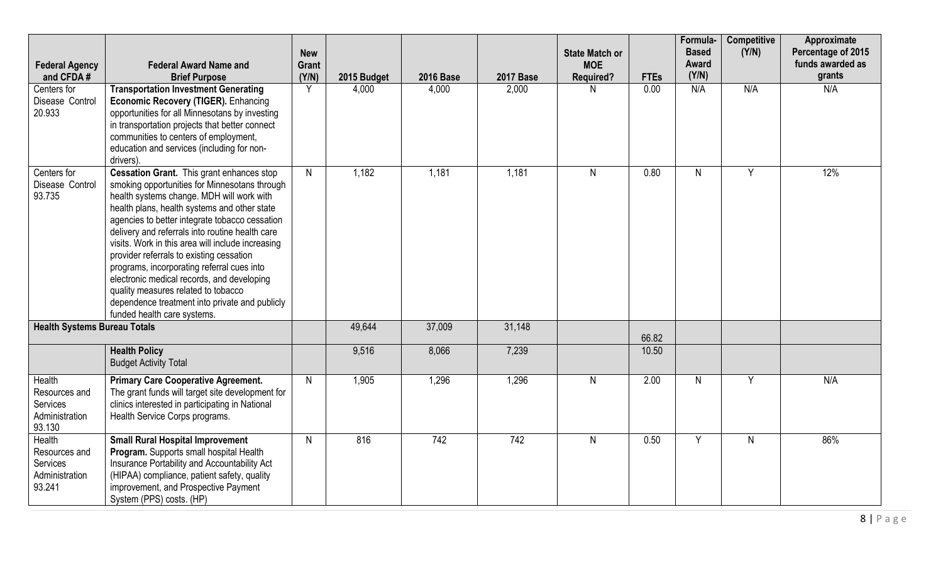| <b>Federal Agency</b>                                           | <b>Federal Award Name and</b>                                                                                                                                                                                                                                                                                                                                                                                                                                                                                                                                                                                     | <b>New</b><br>Grant |             |                  |                  | <b>State Match or</b><br><b>MOE</b> |             | Formula-<br><b>Based</b><br>Award | <b>Competitive</b><br>(Y/N) | Approximate<br>Percentage of 2015<br>funds awarded as |
|-----------------------------------------------------------------|-------------------------------------------------------------------------------------------------------------------------------------------------------------------------------------------------------------------------------------------------------------------------------------------------------------------------------------------------------------------------------------------------------------------------------------------------------------------------------------------------------------------------------------------------------------------------------------------------------------------|---------------------|-------------|------------------|------------------|-------------------------------------|-------------|-----------------------------------|-----------------------------|-------------------------------------------------------|
| and CFDA#                                                       | <b>Brief Purpose</b>                                                                                                                                                                                                                                                                                                                                                                                                                                                                                                                                                                                              | (Y/N)               | 2015 Budget | <b>2016 Base</b> | <b>2017 Base</b> | <b>Required?</b>                    | <b>FTEs</b> | (Y/N)                             |                             | grants                                                |
| Centers for<br>Disease Control<br>20.933                        | <b>Transportation Investment Generating</b><br>Economic Recovery (TIGER). Enhancing<br>opportunities for all Minnesotans by investing<br>in transportation projects that better connect<br>communities to centers of employment,<br>education and services (including for non-<br>drivers).                                                                                                                                                                                                                                                                                                                       | Y                   | 4,000       | 4,000            | 2,000            | N                                   | 0.00        | N/A                               | N/A                         | N/A                                                   |
| Centers for<br>Disease Control<br>93.735                        | Cessation Grant. This grant enhances stop<br>smoking opportunities for Minnesotans through<br>health systems change. MDH will work with<br>health plans, health systems and other state<br>agencies to better integrate tobacco cessation<br>delivery and referrals into routine health care<br>visits. Work in this area will include increasing<br>provider referrals to existing cessation<br>programs, incorporating referral cues into<br>electronic medical records, and developing<br>quality measures related to tobacco<br>dependence treatment into private and publicly<br>funded health care systems. | $\mathsf{N}$        | 1,182       | 1,181            | 1,181            | N                                   | 0.80        | N                                 | Y                           | 12%                                                   |
| <b>Health Systems Bureau Totals</b>                             |                                                                                                                                                                                                                                                                                                                                                                                                                                                                                                                                                                                                                   |                     | 49,644      | 37,009           | 31,148           |                                     | 66.82       |                                   |                             |                                                       |
|                                                                 | <b>Health Policy</b><br><b>Budget Activity Total</b>                                                                                                                                                                                                                                                                                                                                                                                                                                                                                                                                                              |                     | 9,516       | 8,066            | 7,239            |                                     | 10.50       |                                   |                             |                                                       |
| Health<br>Resources and<br>Services<br>Administration<br>93.130 | <b>Primary Care Cooperative Agreement.</b><br>The grant funds will target site development for<br>clinics interested in participating in National<br>Health Service Corps programs.                                                                                                                                                                                                                                                                                                                                                                                                                               | $\mathsf{N}$        | 1,905       | 1,296            | 1,296            | N                                   | 2.00        | N.                                | Y                           | N/A                                                   |
| Health<br>Resources and<br>Services<br>Administration<br>93.241 | <b>Small Rural Hospital Improvement</b><br>Program. Supports small hospital Health<br>Insurance Portability and Accountability Act<br>(HIPAA) compliance, patient safety, quality<br>improvement, and Prospective Payment<br>System (PPS) costs. (HP)                                                                                                                                                                                                                                                                                                                                                             | $\mathsf{N}$        | 816         | 742              | $\overline{742}$ | N                                   | 0.50        | Y                                 | N                           | 86%                                                   |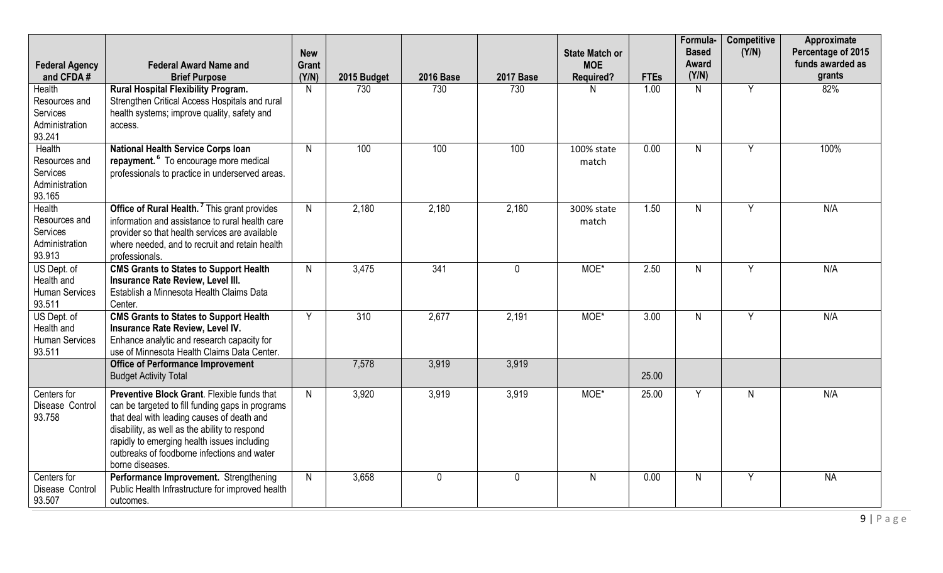| <b>Federal Agency</b><br>and CFDA#                              | <b>Federal Award Name and</b><br><b>Brief Purpose</b>                                                                                                                                                                                                                                                           | <b>New</b><br>Grant<br>(Y/N) | 2015 Budget      | <b>2016 Base</b> | <b>2017 Base</b> | <b>State Match or</b><br><b>MOE</b><br><b>Required?</b> | <b>FTEs</b>       | Formula-<br><b>Based</b><br>Award<br>(Y/N) | <b>Competitive</b><br>(Y/N) | <b>Approximate</b><br>Percentage of 2015<br>funds awarded as<br>grants |
|-----------------------------------------------------------------|-----------------------------------------------------------------------------------------------------------------------------------------------------------------------------------------------------------------------------------------------------------------------------------------------------------------|------------------------------|------------------|------------------|------------------|---------------------------------------------------------|-------------------|--------------------------------------------|-----------------------------|------------------------------------------------------------------------|
| Health<br>Resources and<br>Services<br>Administration<br>93.241 | Rural Hospital Flexibility Program.<br>Strengthen Critical Access Hospitals and rural<br>health systems; improve quality, safety and<br>access.                                                                                                                                                                 | N                            | 730              | 730              | 730              | N                                                       | 1.00              | N.                                         | Y                           | 82%                                                                    |
| Health<br>Resources and<br>Services<br>Administration<br>93.165 | <b>National Health Service Corps Ioan</b><br>repayment. <sup>6</sup> To encourage more medical<br>professionals to practice in underserved areas.                                                                                                                                                               | $\mathsf{N}$                 | 100              | 100              | 100              | 100% state<br>match                                     | 0.00              | $\mathsf{N}$                               | Y                           | 100%                                                                   |
| Health<br>Resources and<br>Services<br>Administration<br>93.913 | Office of Rural Health. <sup>7</sup> This grant provides<br>information and assistance to rural health care<br>provider so that health services are available<br>where needed, and to recruit and retain health<br>professionals.                                                                               | $\mathsf{N}$                 | 2,180            | 2,180            | 2,180            | 300% state<br>match                                     | 1.50              | $\mathsf{N}$                               | Y                           | N/A                                                                    |
| US Dept. of<br>Health and<br><b>Human Services</b><br>93.511    | <b>CMS Grants to States to Support Health</b><br>Insurance Rate Review, Level III.<br>Establish a Minnesota Health Claims Data<br>Center.                                                                                                                                                                       | $\mathsf{N}$                 | 3,475            | 341              | $\mathbf{0}$     | MOE*                                                    | 2.50              | N.                                         | Y                           | N/A                                                                    |
| US Dept. of<br>Health and<br><b>Human Services</b><br>93.511    | <b>CMS Grants to States to Support Health</b><br>Insurance Rate Review, Level IV.<br>Enhance analytic and research capacity for<br>use of Minnesota Health Claims Data Center.                                                                                                                                  | $\overline{Y}$               | $\overline{310}$ | 2,677            | 2,191            | MOE*                                                    | $\overline{3.00}$ | N.                                         | $\overline{Y}$              | N/A                                                                    |
|                                                                 | <b>Office of Performance Improvement</b><br><b>Budget Activity Total</b>                                                                                                                                                                                                                                        |                              | 7,578            | 3,919            | 3,919            |                                                         | 25.00             |                                            |                             |                                                                        |
| Centers for<br>Disease Control<br>93.758                        | Preventive Block Grant, Flexible funds that<br>can be targeted to fill funding gaps in programs<br>that deal with leading causes of death and<br>disability, as well as the ability to respond<br>rapidly to emerging health issues including<br>outbreaks of foodborne infections and water<br>borne diseases. | $\mathsf{N}$                 | 3,920            | 3,919            | 3,919            | MOE*                                                    | 25.00             | $\overline{Y}$                             | N.                          | N/A                                                                    |
| Centers for<br>Disease Control<br>93.507                        | Performance Improvement. Strengthening<br>Public Health Infrastructure for improved health<br>outcomes.                                                                                                                                                                                                         | N                            | 3,658            | $\mathbf{0}$     | 0                | $\mathsf{N}$                                            | 0.00              | N                                          | Y                           | <b>NA</b>                                                              |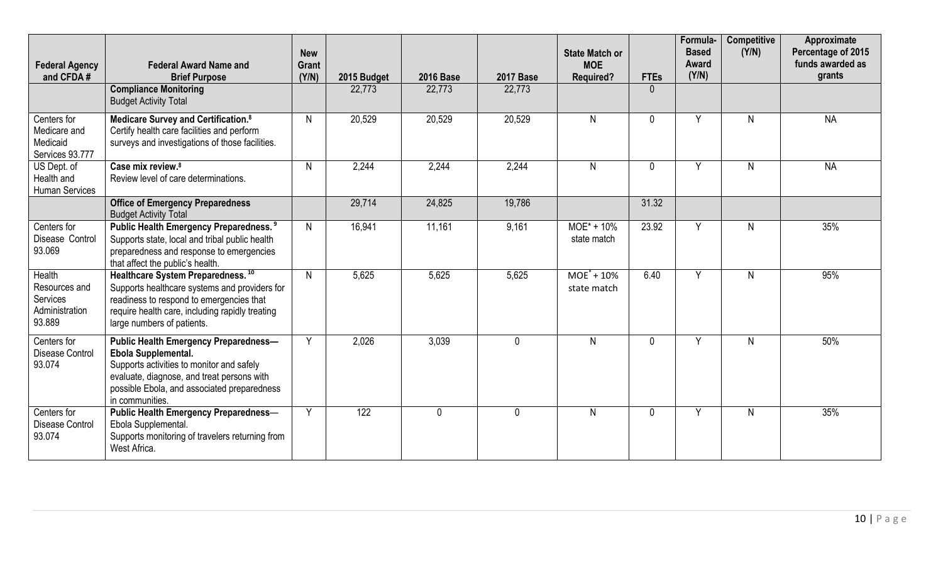| <b>Federal Agency</b><br>and CFDA#                              | <b>Federal Award Name and</b><br><b>Brief Purpose</b>                                                                                                                                                                            | <b>New</b><br>Grant<br>(Y/N) | 2015 Budget      | <b>2016 Base</b> | <b>2017 Base</b> | <b>State Match or</b><br><b>MOE</b><br><b>Required?</b> | <b>FTEs</b>  | Formula-<br><b>Based</b><br>Award<br>(Y/N) | <b>Competitive</b><br>(Y/N) | Approximate<br>Percentage of 2015<br>funds awarded as<br>grants |
|-----------------------------------------------------------------|----------------------------------------------------------------------------------------------------------------------------------------------------------------------------------------------------------------------------------|------------------------------|------------------|------------------|------------------|---------------------------------------------------------|--------------|--------------------------------------------|-----------------------------|-----------------------------------------------------------------|
|                                                                 | <b>Compliance Monitoring</b><br><b>Budget Activity Total</b>                                                                                                                                                                     |                              | 22,773           | 22,773           | 22,773           |                                                         | $\Omega$     |                                            |                             |                                                                 |
| Centers for<br>Medicare and<br>Medicaid<br>Services 93.777      | Medicare Survey and Certification. <sup>8</sup><br>Certify health care facilities and perform<br>surveys and investigations of those facilities.                                                                                 | N                            | 20,529           | 20,529           | 20,529           | $\overline{N}$                                          | $\mathbf{0}$ | Y                                          | N                           | <b>NA</b>                                                       |
| US Dept. of<br>Health and<br><b>Human Services</b>              | Case mix review. <sup>8</sup><br>Review level of care determinations.                                                                                                                                                            | N                            | 2,244            | 2,244            | 2,244            | N                                                       | $\mathbf{0}$ | Y                                          | N                           | <b>NA</b>                                                       |
|                                                                 | <b>Office of Emergency Preparedness</b><br><b>Budget Activity Total</b>                                                                                                                                                          |                              | 29,714           | 24,825           | 19,786           |                                                         | 31.32        |                                            |                             |                                                                 |
| Centers for<br>Disease Control<br>93.069                        | Public Health Emergency Preparedness. <sup>9</sup><br>Supports state, local and tribal public health<br>preparedness and response to emergencies<br>that affect the public's health.                                             | $\mathsf{N}$                 | 16,941           | 11,161           | 9,161            | $MOE^* + 10\%$<br>state match                           | 23.92        | Y                                          | N                           | 35%                                                             |
| Health<br>Resources and<br>Services<br>Administration<br>93.889 | Healthcare System Preparedness. <sup>10</sup><br>Supports healthcare systems and providers for<br>readiness to respond to emergencies that<br>require health care, including rapidly treating<br>large numbers of patients.      | N                            | 5,625            | 5.625            | 5,625            | $MOE^* + 10\%$<br>state match                           | 6.40         | Y                                          | N.                          | 95%                                                             |
| Centers for<br><b>Disease Control</b><br>93.074                 | <b>Public Health Emergency Preparedness-</b><br>Ebola Supplemental.<br>Supports activities to monitor and safely<br>evaluate, diagnose, and treat persons with<br>possible Ebola, and associated preparedness<br>in communities. | Y                            | 2,026            | 3,039            | 0                | $\mathsf{N}$                                            | $\mathbf 0$  | Y                                          | N                           | 50%                                                             |
| Centers for<br><b>Disease Control</b><br>93.074                 | <b>Public Health Emergency Preparedness-</b><br>Ebola Supplemental.<br>Supports monitoring of travelers returning from<br>West Africa.                                                                                           | Y                            | $\overline{122}$ | $\mathbf{0}$     | $\mathbf{0}$     | $\mathsf{N}$                                            | $\mathbf{0}$ | Y                                          | $\mathsf{N}$                | 35%                                                             |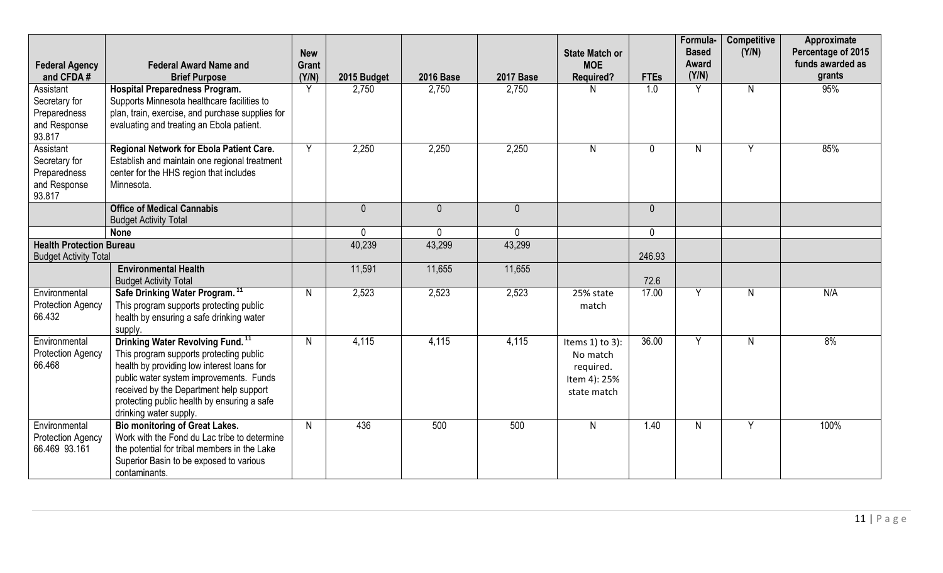| <b>Federal Agency</b><br>and CFDA#                                   | <b>Federal Award Name and</b><br><b>Brief Purpose</b>                                                                                                                                                                                                                                                | <b>New</b><br><b>Grant</b><br>(Y/N) | 2015 Budget    | <b>2016 Base</b> | <b>2017 Base</b> | <b>State Match or</b><br><b>MOE</b><br><b>Required?</b>                       | <b>FTEs</b>  | Formula-<br><b>Based</b><br>Award<br>(Y/N) | <b>Competitive</b><br>(Y/N) | Approximate<br>Percentage of 2015<br>funds awarded as<br>grants |
|----------------------------------------------------------------------|------------------------------------------------------------------------------------------------------------------------------------------------------------------------------------------------------------------------------------------------------------------------------------------------------|-------------------------------------|----------------|------------------|------------------|-------------------------------------------------------------------------------|--------------|--------------------------------------------|-----------------------------|-----------------------------------------------------------------|
| Assistant<br>Secretary for<br>Preparedness<br>and Response<br>93.817 | <b>Hospital Preparedness Program.</b><br>Supports Minnesota healthcare facilities to<br>plan, train, exercise, and purchase supplies for<br>evaluating and treating an Ebola patient.                                                                                                                | Y                                   | 2,750          | 2,750            | 2,750            | N                                                                             | 1.0          | Y                                          | $\mathsf{N}$                | 95%                                                             |
| Assistant<br>Secretary for<br>Preparedness<br>and Response<br>93.817 | Regional Network for Ebola Patient Care.<br>Establish and maintain one regional treatment<br>center for the HHS region that includes<br>Minnesota.                                                                                                                                                   | Y                                   | 2,250          | 2,250            | 2,250            | $\mathsf{N}$                                                                  | $\mathbf 0$  | N                                          | Y                           | 85%                                                             |
|                                                                      | <b>Office of Medical Cannabis</b><br><b>Budget Activity Total</b>                                                                                                                                                                                                                                    |                                     | $\overline{0}$ | $\overline{0}$   | $\overline{0}$   |                                                                               | $\mathbf{0}$ |                                            |                             |                                                                 |
|                                                                      | <b>None</b>                                                                                                                                                                                                                                                                                          |                                     | $\mathbf{0}$   | $\Omega$         | $\mathbf{0}$     |                                                                               | $\mathbf 0$  |                                            |                             |                                                                 |
| <b>Health Protection Bureau</b><br><b>Budget Activity Total</b>      |                                                                                                                                                                                                                                                                                                      |                                     | 40,239         | 43,299           | 43,299           |                                                                               | 246.93       |                                            |                             |                                                                 |
|                                                                      | <b>Environmental Health</b><br><b>Budget Activity Total</b>                                                                                                                                                                                                                                          |                                     | 11,591         | 11,655           | 11,655           |                                                                               | 72.6         |                                            |                             |                                                                 |
| Environmental<br><b>Protection Agency</b><br>66.432                  | Safe Drinking Water Program. <sup>11</sup><br>This program supports protecting public<br>health by ensuring a safe drinking water<br>supply.                                                                                                                                                         | $\mathsf{N}$                        | 2,523          | 2,523            | 2,523            | 25% state<br>match                                                            | 17.00        | Y                                          | N                           | N/A                                                             |
| Environmental<br><b>Protection Agency</b><br>66.468                  | Drinking Water Revolving Fund. <sup>11</sup><br>This program supports protecting public<br>health by providing low interest loans for<br>public water system improvements. Funds<br>received by the Department help support<br>protecting public health by ensuring a safe<br>drinking water supply. | $\mathsf{N}$                        | 4,115          | 4,115            | 4,115            | Items $1$ ) to $3$ ):<br>No match<br>required.<br>Item 4): 25%<br>state match | 36.00        | Y                                          | N                           | 8%                                                              |
| Environmental<br><b>Protection Agency</b><br>66.469 93.161           | <b>Bio monitoring of Great Lakes.</b><br>Work with the Fond du Lac tribe to determine<br>the potential for tribal members in the Lake<br>Superior Basin to be exposed to various<br>contaminants.                                                                                                    | N                                   | 436            | 500              | 500              | $\mathsf{N}$                                                                  | 1.40         | N.                                         | Y                           | 100%                                                            |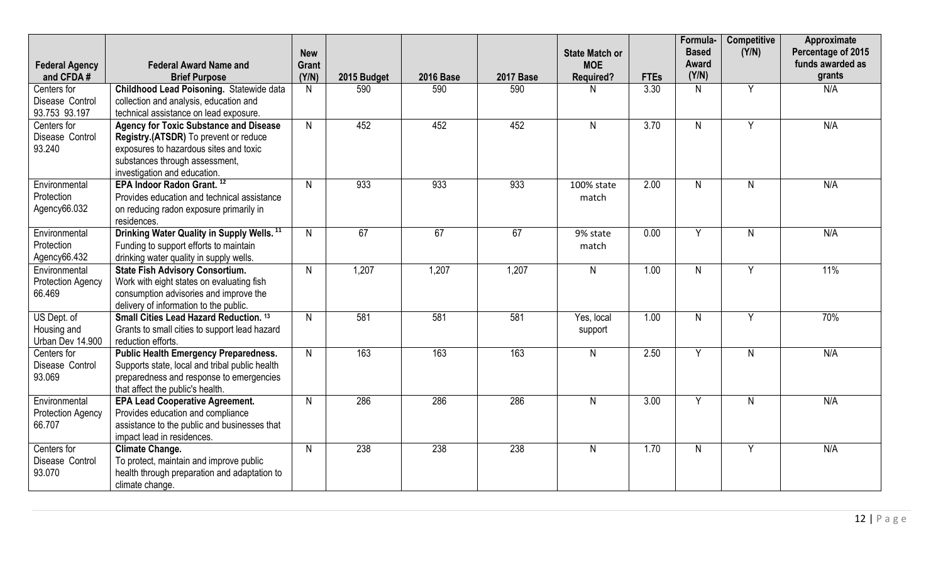| <b>Federal Agency</b>                               | <b>Federal Award Name and</b>                                                                                                                                                                      | <b>New</b><br>Grant |             |                  |                  | <b>State Match or</b><br><b>MOE</b> |             | Formula-<br><b>Based</b><br>Award | <b>Competitive</b><br>(Y/N) | Approximate<br>Percentage of 2015<br>funds awarded as |
|-----------------------------------------------------|----------------------------------------------------------------------------------------------------------------------------------------------------------------------------------------------------|---------------------|-------------|------------------|------------------|-------------------------------------|-------------|-----------------------------------|-----------------------------|-------------------------------------------------------|
| and CFDA#                                           | <b>Brief Purpose</b>                                                                                                                                                                               | (Y/N)               | 2015 Budget | <b>2016 Base</b> | <b>2017 Base</b> | <b>Required?</b>                    | <b>FTEs</b> | (Y/N)                             |                             | grants                                                |
| Centers for<br>Disease Control<br>93.753 93.197     | <b>Childhood Lead Poisoning. Statewide data</b><br>collection and analysis, education and<br>technical assistance on lead exposure.                                                                | $\mathsf{N}$        | 590         | 590              | 590              | N                                   | 3.30        | N                                 | Y                           | N/A                                                   |
| Centers for<br>Disease Control<br>93.240            | <b>Agency for Toxic Substance and Disease</b><br>Registry.(ATSDR) To prevent or reduce<br>exposures to hazardous sites and toxic<br>substances through assessment,<br>investigation and education. | $\mathsf{N}$        | 452         | 452              | 452              | N.                                  | 3.70        | N.                                | Y                           | N/A                                                   |
| Environmental<br>Protection<br>Agency66.032         | EPA Indoor Radon Grant. <sup>12</sup><br>Provides education and technical assistance<br>on reducing radon exposure primarily in<br>residences.                                                     | $\mathsf{N}$        | 933         | 933              | 933              | 100% state<br>match                 | 2.00        | N.                                | N.                          | N/A                                                   |
| Environmental<br>Protection<br>Agency66.432         | Drinking Water Quality in Supply Wells. <sup>11</sup><br>Funding to support efforts to maintain<br>drinking water quality in supply wells.                                                         | $\mathsf{N}$        | 67          | 67               | 67               | 9% state<br>match                   | 0.00        | Y                                 | $\mathsf{N}$                | N/A                                                   |
| Environmental<br><b>Protection Agency</b><br>66.469 | <b>State Fish Advisory Consortium.</b><br>Work with eight states on evaluating fish<br>consumption advisories and improve the<br>delivery of information to the public.                            | $\mathsf{N}$        | 1,207       | 1,207            | 1,207            | N                                   | 1.00        | $\mathsf{N}$                      | Y                           | 11%                                                   |
| US Dept. of<br>Housing and<br>Urban Dev 14.900      | Small Cities Lead Hazard Reduction. 13<br>Grants to small cities to support lead hazard<br>reduction efforts.                                                                                      | N                   | 581         | 581              | 581              | Yes, local<br>support               | 1.00        | N.                                | Y                           | 70%                                                   |
| Centers for<br>Disease Control<br>93.069            | <b>Public Health Emergency Preparedness.</b><br>Supports state, local and tribal public health<br>preparedness and response to emergencies<br>that affect the public's health.                     | $\mathsf{N}$        | 163         | 163              | 163              | N                                   | 2.50        | Y                                 | N                           | N/A                                                   |
| Environmental<br><b>Protection Agency</b><br>66.707 | <b>EPA Lead Cooperative Agreement.</b><br>Provides education and compliance<br>assistance to the public and businesses that<br>impact lead in residences.                                          | $\mathsf{N}$        | 286         | 286              | 286              | N                                   | 3.00        | Y                                 | $\mathsf{N}$                | N/A                                                   |
| Centers for<br>Disease Control<br>93.070            | <b>Climate Change.</b><br>To protect, maintain and improve public<br>health through preparation and adaptation to<br>climate change.                                                               | $\mathsf{N}$        | 238         | 238              | 238              | N                                   | 1.70        | $\mathsf{N}$                      | Y                           | N/A                                                   |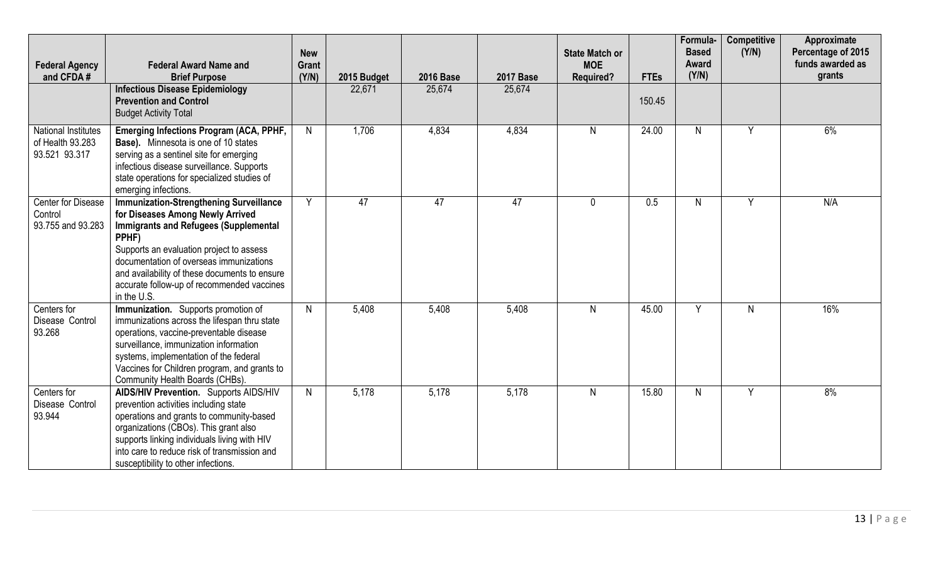| <b>Federal Agency</b>                                           | <b>Federal Award Name and</b>                                                                                                                                                                                                                                                                                                                    | <b>New</b><br><b>Grant</b> |                       |                            |                            | <b>State Match or</b><br><b>MOE</b> |                       | Formula-<br><b>Based</b><br>Award<br>(Y/N) | <b>Competitive</b><br>(Y/N) | Approximate<br>Percentage of 2015<br>funds awarded as<br>grants |
|-----------------------------------------------------------------|--------------------------------------------------------------------------------------------------------------------------------------------------------------------------------------------------------------------------------------------------------------------------------------------------------------------------------------------------|----------------------------|-----------------------|----------------------------|----------------------------|-------------------------------------|-----------------------|--------------------------------------------|-----------------------------|-----------------------------------------------------------------|
| and CFDA#                                                       | <b>Brief Purpose</b><br><b>Infectious Disease Epidemiology</b><br><b>Prevention and Control</b><br><b>Budget Activity Total</b>                                                                                                                                                                                                                  | (Y/N)                      | 2015 Budget<br>22,671 | <b>2016 Base</b><br>25,674 | <b>2017 Base</b><br>25,674 | <b>Required?</b>                    | <b>FTEs</b><br>150.45 |                                            |                             |                                                                 |
| <b>National Institutes</b><br>of Health 93.283<br>93.521 93.317 | Emerging Infections Program (ACA, PPHF,<br><b>Base).</b> Minnesota is one of 10 states<br>serving as a sentinel site for emerging<br>infectious disease surveillance. Supports<br>state operations for specialized studies of<br>emerging infections.                                                                                            | $\mathsf{N}$               | 1,706                 | 4,834                      | 4,834                      | $\mathsf{N}$                        | 24.00                 | N.                                         | Y                           | 6%                                                              |
| Center for Disease<br>Control<br>93.755 and 93.283              | <b>Immunization-Strengthening Surveillance</b><br>for Diseases Among Newly Arrived<br><b>Immigrants and Refugees (Supplemental</b><br>PPHF)<br>Supports an evaluation project to assess<br>documentation of overseas immunizations<br>and availability of these documents to ensure<br>accurate follow-up of recommended vaccines<br>in the U.S. | $\overline{Y}$             | 47                    | 47                         | 47                         | $\mathbf 0$                         | 0.5                   | N.                                         | Y                           | N/A                                                             |
| Centers for<br>Disease Control<br>93.268                        | Immunization. Supports promotion of<br>immunizations across the lifespan thru state<br>operations, vaccine-preventable disease<br>surveillance, immunization information<br>systems, implementation of the federal<br>Vaccines for Children program, and grants to<br>Community Health Boards (CHBs).                                            | $\mathsf{N}$               | 5,408                 | 5,408                      | 5,408                      | $\mathsf{N}$                        | 45.00                 | Y                                          | N                           | 16%                                                             |
| Centers for<br>Disease Control<br>93.944                        | <b>AIDS/HIV Prevention.</b> Supports AIDS/HIV<br>prevention activities including state<br>operations and grants to community-based<br>organizations (CBOs). This grant also<br>supports linking individuals living with HIV<br>into care to reduce risk of transmission and<br>susceptibility to other infections.                               | N                          | 5,178                 | 5,178                      | 5,178                      | $\mathsf{N}$                        | 15.80                 | N.                                         | Y                           | 8%                                                              |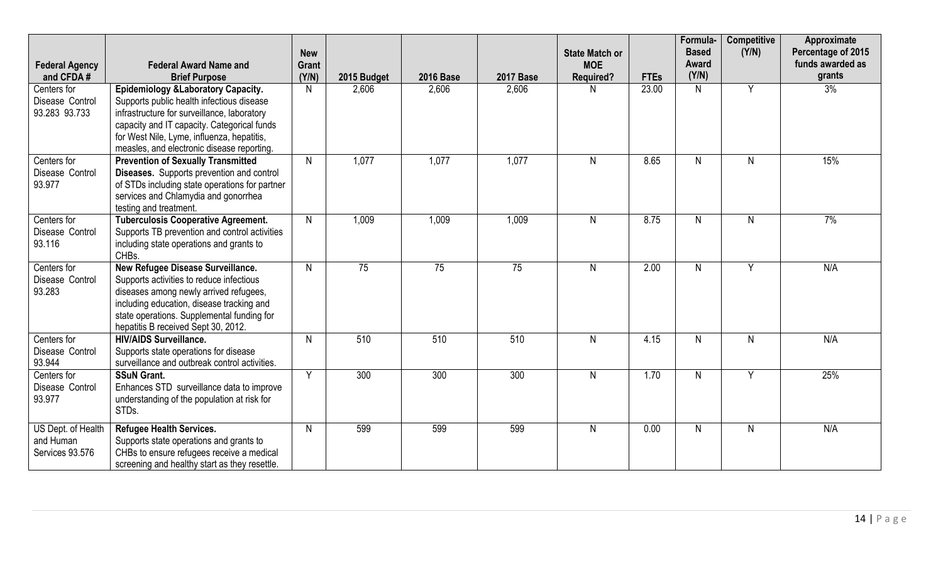| <b>Federal Agency</b><br>and CFDA#                 | <b>Federal Award Name and</b><br><b>Brief Purpose</b>                                                                                                                                                                                                                      | <b>New</b><br><b>Grant</b><br>(Y/N) | 2015 Budget     | <b>2016 Base</b> | <b>2017 Base</b> | <b>State Match or</b><br><b>MOE</b><br><b>Required?</b> | <b>FTEs</b> | Formula-<br><b>Based</b><br>Award<br>(Y/N) | <b>Competitive</b><br>(Y/N) | Approximate<br>Percentage of 2015<br>funds awarded as<br>grants |
|----------------------------------------------------|----------------------------------------------------------------------------------------------------------------------------------------------------------------------------------------------------------------------------------------------------------------------------|-------------------------------------|-----------------|------------------|------------------|---------------------------------------------------------|-------------|--------------------------------------------|-----------------------------|-----------------------------------------------------------------|
| Centers for<br>Disease Control<br>93.283 93.733    | Epidemiology & Laboratory Capacity.<br>Supports public health infectious disease<br>infrastructure for surveillance, laboratory<br>capacity and IT capacity. Categorical funds<br>for West Nile, Lyme, influenza, hepatitis,<br>measles, and electronic disease reporting. | $\mathsf{N}$                        | 2,606           | 2,606            | 2,606            | N                                                       | 23.00       | N.                                         | Y                           | 3%                                                              |
| Centers for<br>Disease Control<br>93.977           | <b>Prevention of Sexually Transmitted</b><br>Diseases. Supports prevention and control<br>of STDs including state operations for partner<br>services and Chlamydia and gonorrhea<br>testing and treatment.                                                                 | $\mathsf{N}$                        | 1,077           | 1,077            | 1,077            | $\mathsf{N}$                                            | 8.65        | N                                          | N                           | 15%                                                             |
| Centers for<br>Disease Control<br>93.116           | <b>Tuberculosis Cooperative Agreement.</b><br>Supports TB prevention and control activities<br>including state operations and grants to<br>CHBs.                                                                                                                           | $\mathsf{N}$                        | 1,009           | 1,009            | 1,009            | $\mathsf{N}$                                            | 8.75        | N                                          | N                           | 7%                                                              |
| Centers for<br>Disease Control<br>93.283           | New Refugee Disease Surveillance.<br>Supports activities to reduce infectious<br>diseases among newly arrived refugees,<br>including education, disease tracking and<br>state operations. Supplemental funding for<br>hepatitis B received Sept 30, 2012.                  | $\mathsf{N}$                        | $\overline{75}$ | $\overline{75}$  | $\overline{75}$  | $\mathsf{N}$                                            | 2.00        | N                                          | Y                           | N/A                                                             |
| Centers for<br>Disease Control<br>93.944           | <b>HIV/AIDS Surveillance.</b><br>Supports state operations for disease<br>surveillance and outbreak control activities.                                                                                                                                                    | $\mathsf{N}$                        | 510             | 510              | 510              | $\mathsf{N}$                                            | 4.15        | N.                                         | N                           | N/A                                                             |
| Centers for<br>Disease Control<br>93.977           | <b>SSuN Grant.</b><br>Enhances STD surveillance data to improve<br>understanding of the population at risk for<br>STDs.                                                                                                                                                    | Y                                   | 300             | 300              | 300              | $\mathsf{N}$                                            | 1.70        | N.                                         | Y                           | 25%                                                             |
| US Dept. of Health<br>and Human<br>Services 93.576 | <b>Refugee Health Services.</b><br>Supports state operations and grants to<br>CHBs to ensure refugees receive a medical<br>screening and healthy start as they resettle.                                                                                                   | $\mathsf{N}$                        | 599             | 599              | 599              | $\mathsf{N}$                                            | 0.00        | N                                          | N.                          | N/A                                                             |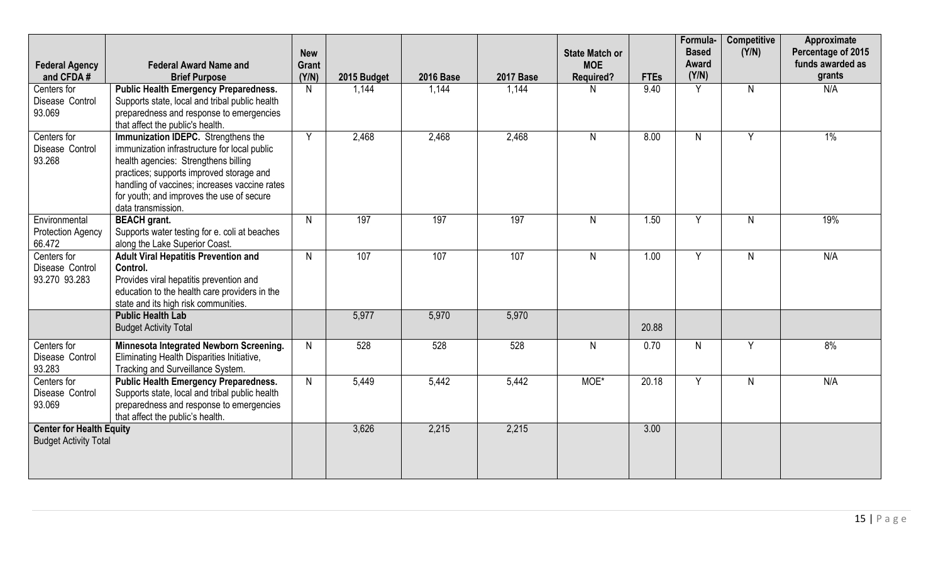| <b>Federal Agency</b><br>and CFDA#                              | <b>Federal Award Name and</b><br><b>Brief Purpose</b>                                                                                                                                                                                                                                       | <b>New</b><br><b>Grant</b><br>(Y/N) | 2015 Budget | <b>2016 Base</b> | <b>2017 Base</b> | <b>State Match or</b><br><b>MOE</b><br><b>Required?</b> | <b>FTEs</b> | Formula-<br><b>Based</b><br>Award<br>(Y/N) | <b>Competitive</b><br>(Y/N) | Approximate<br>Percentage of 2015<br>funds awarded as<br>grants |
|-----------------------------------------------------------------|---------------------------------------------------------------------------------------------------------------------------------------------------------------------------------------------------------------------------------------------------------------------------------------------|-------------------------------------|-------------|------------------|------------------|---------------------------------------------------------|-------------|--------------------------------------------|-----------------------------|-----------------------------------------------------------------|
| Centers for<br>Disease Control<br>93.069                        | <b>Public Health Emergency Preparedness.</b><br>Supports state, local and tribal public health<br>preparedness and response to emergencies<br>that affect the public's health.                                                                                                              | N                                   | 1,144       | 1,144            | 1,144            | N.                                                      | 9.40        | Y                                          | N                           | N/A                                                             |
| Centers for<br>Disease Control<br>93.268                        | Immunization IDEPC. Strengthens the<br>immunization infrastructure for local public<br>health agencies: Strengthens billing<br>practices; supports improved storage and<br>handling of vaccines; increases vaccine rates<br>for youth; and improves the use of secure<br>data transmission. | Y                                   | 2,468       | 2,468            | 2,468            | $\mathsf{N}$                                            | 8.00        | N.                                         | Y                           | $1\%$                                                           |
| Environmental<br>Protection Agency<br>66.472                    | <b>BEACH</b> grant.<br>Supports water testing for e. coli at beaches<br>along the Lake Superior Coast.                                                                                                                                                                                      | $\mathsf{N}$                        | 197         | 197              | 197              | $\mathsf{N}$                                            | 1.50        | Y                                          | N                           | 19%                                                             |
| Centers for<br>Disease Control<br>93.270 93.283                 | <b>Adult Viral Hepatitis Prevention and</b><br>Control.<br>Provides viral hepatitis prevention and<br>education to the health care providers in the<br>state and its high risk communities.                                                                                                 | $\mathsf{N}$                        | 107         | 107              | 107              | $\mathsf{N}$                                            | 1.00        | Y                                          | N                           | N/A                                                             |
|                                                                 | <b>Public Health Lab</b><br><b>Budget Activity Total</b>                                                                                                                                                                                                                                    |                                     | 5,977       | 5,970            | 5,970            |                                                         | 20.88       |                                            |                             |                                                                 |
| Centers for<br>Disease Control<br>93.283                        | Minnesota Integrated Newborn Screening.<br>Eliminating Health Disparities Initiative,<br>Tracking and Surveillance System.                                                                                                                                                                  | $\mathsf{N}$                        | 528         | 528              | 528              | N                                                       | 0.70        | N                                          | Y                           | 8%                                                              |
| Centers for<br>Disease Control<br>93.069                        | <b>Public Health Emergency Preparedness.</b><br>Supports state, local and tribal public health<br>preparedness and response to emergencies<br>that affect the public's health.                                                                                                              | $\mathsf{N}$                        | 5,449       | 5,442            | 5,442            | MOE*                                                    | 20.18       | Y                                          | N                           | N/A                                                             |
| <b>Center for Health Equity</b><br><b>Budget Activity Total</b> |                                                                                                                                                                                                                                                                                             |                                     | 3,626       | 2,215            | 2,215            |                                                         | 3.00        |                                            |                             |                                                                 |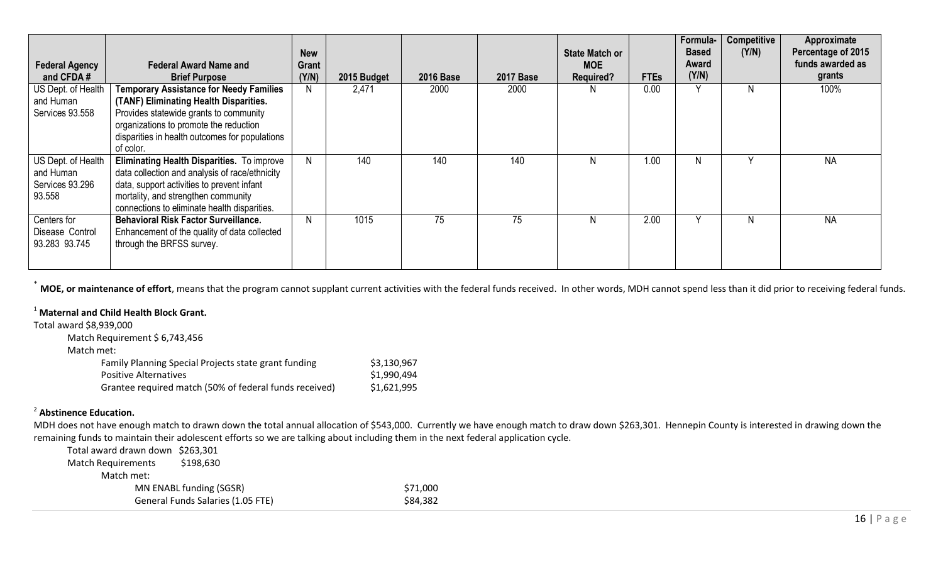|                                                              |                                                                                                                                                                                                                                             | <b>New</b>     |             |                  |                  | State Match or                 |             | Formula-<br><b>Based</b> | <b>Competitive</b><br>(Y/N) | Approximate<br>Percentage of 2015 |
|--------------------------------------------------------------|---------------------------------------------------------------------------------------------------------------------------------------------------------------------------------------------------------------------------------------------|----------------|-------------|------------------|------------------|--------------------------------|-------------|--------------------------|-----------------------------|-----------------------------------|
| <b>Federal Agency</b><br>and CFDA#                           | <b>Federal Award Name and</b><br><b>Brief Purpose</b>                                                                                                                                                                                       | Grant<br>(Y/N) | 2015 Budget | <b>2016 Base</b> | <b>2017 Base</b> | <b>MOE</b><br><b>Required?</b> | <b>FTEs</b> | Award<br>(Y/N)           |                             | funds awarded as<br>grants        |
| US Dept. of Health<br>and Human<br>Services 93.558           | <b>Temporary Assistance for Needy Families</b><br>(TANF) Eliminating Health Disparities.<br>Provides statewide grants to community<br>organizations to promote the reduction<br>disparities in health outcomes for populations<br>of color. |                | 2,471       | 2000             | 2000             |                                | 0.00        |                          | N.                          | 100%                              |
| US Dept. of Health<br>and Human<br>Services 93.296<br>93.558 | Eliminating Health Disparities. To improve<br>data collection and analysis of race/ethnicity<br>data, support activities to prevent infant<br>mortality, and strengthen community<br>connections to eliminate health disparities.           | N              | 140         | 140              | 140              | N                              | 1.00        |                          |                             | <b>NA</b>                         |
| Centers for<br>Disease Control<br>93.283 93.745              | <b>Behavioral Risk Factor Surveillance.</b><br>Enhancement of the quality of data collected<br>through the BRFSS survey.                                                                                                                    | N              | 1015        | 75               | 75               |                                | 2.00        |                          | N                           | <b>NA</b>                         |

**MOE, or maintenance of effort**, means that the program cannot supplant current activities with the federal funds received. In other words, MDH cannot spend less than it did prior to receiving federal funds.

# <sup>1</sup> **Maternal and Child Health Block Grant.**

Total award \$8,939,000

| Match Requirement \$ 6,743,456                         |             |
|--------------------------------------------------------|-------------|
| Match met:                                             |             |
| Family Planning Special Projects state grant funding   | \$3,130,967 |
| <b>Positive Alternatives</b>                           | \$1,990,494 |
| Grantee required match (50% of federal funds received) | \$1,621,995 |

## 2 **Abstinence Education.**

MDH does not have enough match to drawn down the total annual allocation of \$543,000. Currently we have enough match to draw down \$263,301. Hennepin County is interested in drawing down the remaining funds to maintain their adolescent efforts so we are talking about including them in the next federal application cycle.

| Total award drawn down \$263,301 |                                   |          |
|----------------------------------|-----------------------------------|----------|
| Match Requirements               | \$198,630                         |          |
| Match met:                       |                                   |          |
|                                  | MN ENABL funding (SGSR)           | \$71.000 |
|                                  | General Funds Salaries (1.05 FTE) | \$84,382 |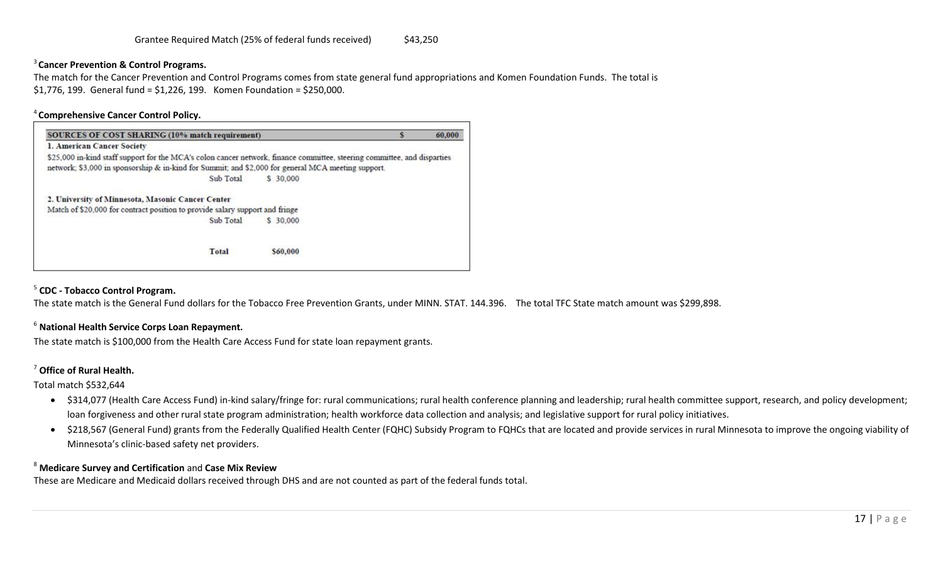## 3 **Cancer Prevention & Control Programs.**

The match for the Cancer Prevention and Control Programs comes from state general fund appropriations and Komen Foundation Funds. The total is \$1,776, 199. General fund = \$1,226, 199. Komen Foundation = \$250,000.

#### <sup>4</sup>**Comprehensive Cancer Control Policy.**

| SOURCES OF COST SHARING (10% match requirement)                                                                          |           |  | 60,000 |
|--------------------------------------------------------------------------------------------------------------------------|-----------|--|--------|
| 1. American Cancer Society                                                                                               |           |  |        |
| \$25,000 in-kind staff support for the MCA's colon cancer network, finance committee, steering committee, and disparties |           |  |        |
| network; \$3,000 in sponsorship & in-kind for Summit; and \$2,000 for general MCA meeting support.                       |           |  |        |
| Sub Total                                                                                                                | \$ 30,000 |  |        |
| 2. University of Minnesota, Masonic Cancer Center                                                                        |           |  |        |
| Match of \$20,000 for contract position to provide salary support and fringe                                             |           |  |        |
| Sub Total                                                                                                                | \$ 30,000 |  |        |
| Total                                                                                                                    | \$60,000  |  |        |

## 5 **CDC - Tobacco Control Program.**

The state match is the General Fund dollars for the Tobacco Free Prevention Grants, under MINN. STAT. 144.396. The total TFC State match amount was \$299,898.

#### <sup>6</sup> **National Health Service Corps Loan Repayment.**

The state match is \$100,000 from the Health Care Access Fund for state loan repayment grants.

#### <sup>7</sup> **Office of Rural Health.**

Total match \$532,644

- \$314,077 (Health Care Access Fund) in-kind salary/fringe for: rural communications; rural health conference planning and leadership; rural health committee support, research, and policy development; loan forgiveness and other rural state program administration; health workforce data collection and analysis; and legislative support for rural policy initiatives.
- \$218,567 (General Fund) grants from the Federally Qualified Health Center (FQHC) Subsidy Program to FQHCs that are located and provide services in rural Minnesota to improve the ongoing viability of Minnesota's clinic-based safety net providers.

#### <sup>8</sup> **Medicare Survey and Certification** and **Case Mix Review**

These are Medicare and Medicaid dollars received through DHS and are not counted as part of the federal funds total.